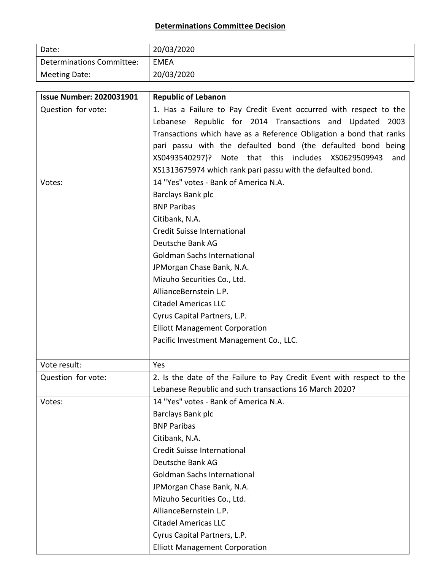## **Determinations Committee Decision**

| Date:                     | 20/03/2020 |
|---------------------------|------------|
| Determinations Committee: | EMEA       |
| Meeting Date:             | 20/03/2020 |

| <b>Issue Number: 2020031901</b> | <b>Republic of Lebanon</b>                                            |
|---------------------------------|-----------------------------------------------------------------------|
| Question for vote:              | 1. Has a Failure to Pay Credit Event occurred with respect to the     |
|                                 | Lebanese Republic for 2014 Transactions and Updated 2003              |
|                                 | Transactions which have as a Reference Obligation a bond that ranks   |
|                                 | pari passu with the defaulted bond (the defaulted bond being          |
|                                 | XS0493540297)? Note that this includes XS0629509943<br>and            |
|                                 | XS1313675974 which rank pari passu with the defaulted bond.           |
| Votes:                          | 14 "Yes" votes - Bank of America N.A.                                 |
|                                 | Barclays Bank plc                                                     |
|                                 | <b>BNP Paribas</b>                                                    |
|                                 | Citibank, N.A.                                                        |
|                                 | Credit Suisse International                                           |
|                                 | Deutsche Bank AG                                                      |
|                                 | <b>Goldman Sachs International</b>                                    |
|                                 | JPMorgan Chase Bank, N.A.                                             |
|                                 | Mizuho Securities Co., Ltd.                                           |
|                                 | AllianceBernstein L.P.                                                |
|                                 | <b>Citadel Americas LLC</b>                                           |
|                                 | Cyrus Capital Partners, L.P.                                          |
|                                 | <b>Elliott Management Corporation</b>                                 |
|                                 | Pacific Investment Management Co., LLC.                               |
|                                 |                                                                       |
| Vote result:                    | Yes                                                                   |
| Question for vote:              | 2. Is the date of the Failure to Pay Credit Event with respect to the |
|                                 | Lebanese Republic and such transactions 16 March 2020?                |
| Votes:                          | 14 "Yes" votes - Bank of America N.A.                                 |
|                                 | Barclays Bank plc                                                     |
|                                 | <b>BNP Paribas</b>                                                    |
|                                 | Citibank, N.A.                                                        |
|                                 | Credit Suisse International                                           |
|                                 | Deutsche Bank AG                                                      |
|                                 | <b>Goldman Sachs International</b>                                    |
|                                 | JPMorgan Chase Bank, N.A.                                             |
|                                 | Mizuho Securities Co., Ltd.                                           |
|                                 | AllianceBernstein L.P.                                                |
|                                 | <b>Citadel Americas LLC</b>                                           |
|                                 | Cyrus Capital Partners, L.P.                                          |
|                                 | <b>Elliott Management Corporation</b>                                 |

L